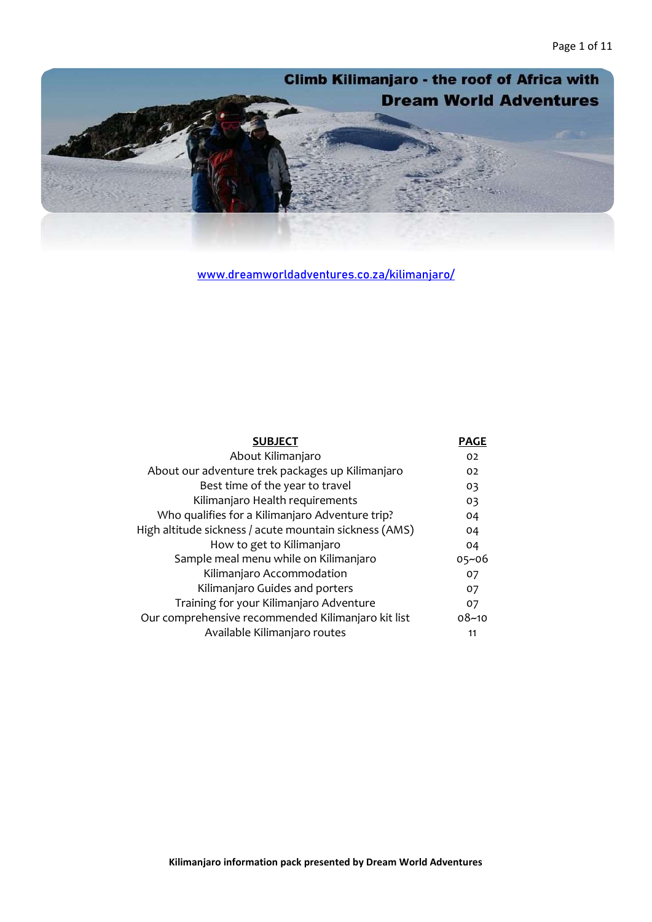

[www.dreamworldadventures.co.za/kilimanjaro/](http://www.dreamworldadventures.co.za/kilimanjaro/)

| <b>SUBJECT</b>                                         | PAGE      |
|--------------------------------------------------------|-----------|
| About Kilimanjaro                                      | 02        |
| About our adventure trek packages up Kilimanjaro       | 02        |
| Best time of the year to travel                        | 03        |
| Kilimanjaro Health requirements                        | 03        |
| Who qualifies for a Kilimanjaro Adventure trip?        | 04        |
| High altitude sickness / acute mountain sickness (AMS) | 04        |
| How to get to Kilimanjaro                              | 04        |
| Sample meal menu while on Kilimanjaro                  | $05 - 06$ |
| Kilimanjaro Accommodation                              | 07        |
| Kilimanjaro Guides and porters                         | 07        |
| Training for your Kilimanjaro Adventure                | 07        |
| Our comprehensive recommended Kilimanjaro kit list     | $08 - 10$ |
| Available Kilimanjaro routes                           | 11        |
|                                                        |           |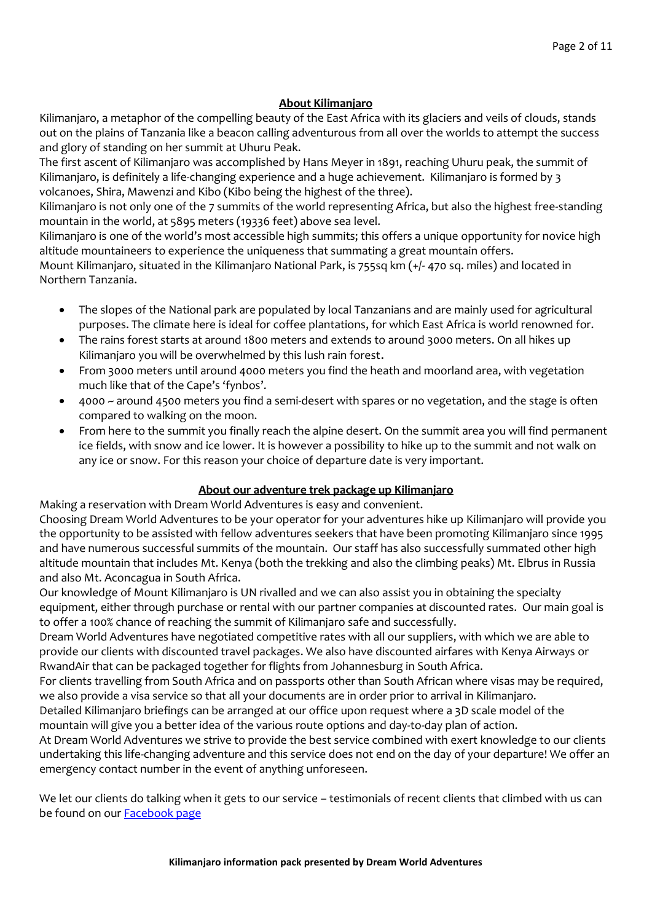# **About Kilimanjaro**

Kilimanjaro, a metaphor of the compelling beauty of the East Africa with its glaciers and veils of clouds, stands out on the plains of Tanzania like a beacon calling adventurous from all over the worlds to attempt the success and glory of standing on her summit at Uhuru Peak.

The first ascent of Kilimanjaro was accomplished by Hans Meyer in 1891, reaching Uhuru peak, the summit of Kilimanjaro, is definitely a life-changing experience and a huge achievement. Kilimanjaro is formed by 3 volcanoes, Shira, Mawenzi and Kibo (Kibo being the highest of the three).

Kilimanjaro is not only one of the 7 summits of the world representing Africa, but also the highest free-standing mountain in the world, at 5895 meters (19336 feet) above sea level.

Kilimanjaro is one of the world's most accessible high summits; this offers a unique opportunity for novice high altitude mountaineers to experience the uniqueness that summating a great mountain offers.

Mount Kilimanjaro, situated in the Kilimanjaro National Park, is 755sq km (+/- 470 sq. miles) and located in Northern Tanzania.

- The slopes of the National park are populated by local Tanzanians and are mainly used for agricultural purposes. The climate here is ideal for coffee plantations, for which East Africa is world renowned for.
- The rains forest starts at around 1800 meters and extends to around 3000 meters. On all hikes up Kilimanjaro you will be overwhelmed by this lush rain forest.
- From 3000 meters until around 4000 meters you find the heath and moorland area, with vegetation much like that of the Cape's 'fynbos'.
- 4000 ~ around 4500 meters you find a semi-desert with spares or no vegetation, and the stage is often compared to walking on the moon.
- From here to the summit you finally reach the alpine desert. On the summit area you will find permanent ice fields, with snow and ice lower. It is however a possibility to hike up to the summit and not walk on any ice or snow. For this reason your choice of departure date is very important.

# **About our adventure trek package up Kilimanjaro**

Making a reservation with Dream World Adventures is easy and convenient.

Choosing Dream World Adventures to be your operator for your adventures hike up Kilimanjaro will provide you the opportunity to be assisted with fellow adventures seekers that have been promoting Kilimanjaro since 1995 and have numerous successful summits of the mountain. Our staff has also successfully summated other high altitude mountain that includes Mt. Kenya (both the trekking and also the climbing peaks) Mt. Elbrus in Russia and also Mt. Aconcagua in South Africa.

Our knowledge of Mount Kilimanjaro is UN rivalled and we can also assist you in obtaining the specialty equipment, either through purchase or rental with our partner companies at discounted rates. Our main goal is to offer a 100% chance of reaching the summit of Kilimanjaro safe and successfully.

Dream World Adventures have negotiated competitive rates with all our suppliers, with which we are able to provide our clients with discounted travel packages. We also have discounted airfares with Kenya Airways or RwandAir that can be packaged together for flights from Johannesburg in South Africa.

For clients travelling from South Africa and on passports other than South African where visas may be required, we also provide a visa service so that all your documents are in order prior to arrival in Kilimanjaro.

Detailed Kilimanjaro briefings can be arranged at our office upon request where a 3D scale model of the mountain will give you a better idea of the various route options and day-to-day plan of action.

At Dream World Adventures we strive to provide the best service combined with exert knowledge to our clients undertaking this life-changing adventure and this service does not end on the day of your departure! We offer an emergency contact number in the event of anything unforeseen.

We let our clients do talking when it gets to our service – testimonials of recent clients that climbed with us can be found on our **Facebook page**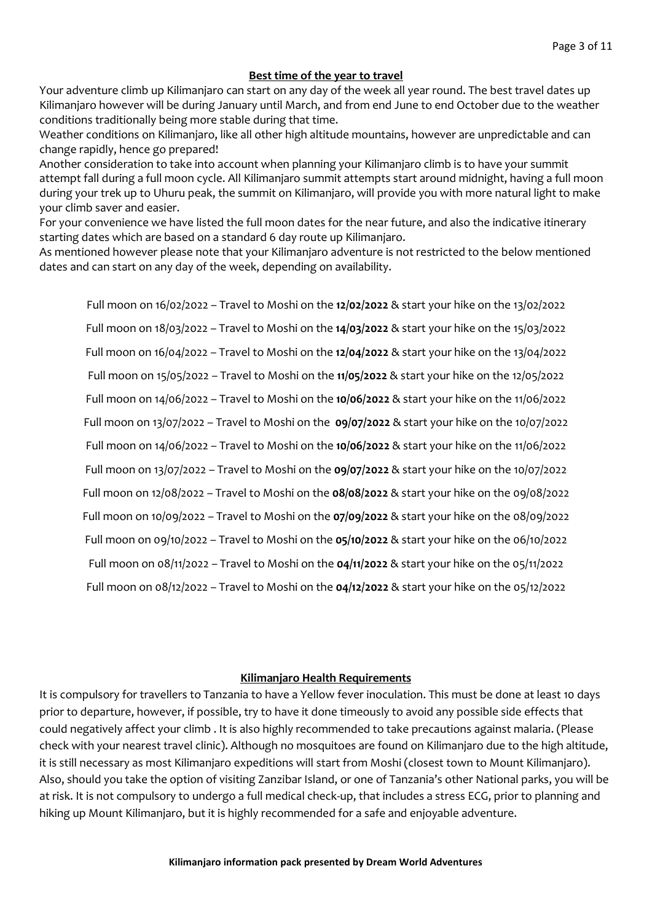### **Best time of the year to travel**

Your adventure climb up Kilimanjaro can start on any day of the week all year round. The best travel dates up Kilimanjaro however will be during January until March, and from end June to end October due to the weather conditions traditionally being more stable during that time.

Weather conditions on Kilimanjaro, like all other high altitude mountains, however are unpredictable and can change rapidly, hence go prepared!

Another consideration to take into account when planning your Kilimanjaro climb is to have your summit attempt fall during a full moon cycle. All Kilimanjaro summit attempts start around midnight, having a full moon during your trek up to Uhuru peak, the summit on Kilimanjaro, will provide you with more natural light to make your climb saver and easier.

For your convenience we have listed the full moon dates for the near future, and also the indicative itinerary starting dates which are based on a standard 6 day route up Kilimanjaro.

As mentioned however please note that your Kilimanjaro adventure is not restricted to the below mentioned dates and can start on any day of the week, depending on availability.

Full moon on 16/02/2022 – Travel to Moshi on the **12/02/2022** & start your hike on the 13/02/2022 Full moon on 18/03/2022 – Travel to Moshi on the **14/03/2022** & start your hike on the 15/03/2022 Full moon on 16/04/2022 – Travel to Moshi on the **12/04/2022** & start your hike on the 13/04/2022 Full moon on 15/05/2022 – Travel to Moshi on the **11/05/2022** & start your hike on the 12/05/2022 Full moon on 14/06/2022 – Travel to Moshi on the **10/06/2022** & start your hike on the 11/06/2022 Full moon on 13/07/2022 – Travel to Moshi on the **09/07/2022** & start your hike on the 10/07/2022 Full moon on 14/06/2022 – Travel to Moshi on the **10/06/2022** & start your hike on the 11/06/2022 Full moon on 13/07/2022 – Travel to Moshi on the **09/07/2022** & start your hike on the 10/07/2022 Full moon on 12/08/2022 – Travel to Moshi on the **08/08/2022** & start your hike on the 09/08/2022 Full moon on 10/09/2022 – Travel to Moshi on the **07/09/2022** & start your hike on the 08/09/2022 Full moon on 09/10/2022 – Travel to Moshi on the **05/10/2022** & start your hike on the 06/10/2022 Full moon on 08/11/2022 – Travel to Moshi on the **04/11/2022** & start your hike on the 05/11/2022 Full moon on 08/12/2022 – Travel to Moshi on the **04/12/2022** & start your hike on the 05/12/2022

#### **Kilimanjaro Health Requirements**

It is compulsory for travellers to Tanzania to have a Yellow fever inoculation. This must be done at least 10 days prior to departure, however, if possible, try to have it done timeously to avoid any possible side effects that could negatively affect your climb . It is also highly recommended to take precautions against malaria. (Please check with your nearest travel clinic). Although no mosquitoes are found on Kilimanjaro due to the high altitude, it is still necessary as most Kilimanjaro expeditions will start from Moshi (closest town to Mount Kilimanjaro). Also, should you take the option of visiting Zanzibar Island, or one of Tanzania's other National parks, you will be at risk. It is not compulsory to undergo a full medical check-up, that includes a stress ECG, prior to planning and hiking up Mount Kilimanjaro, but it is highly recommended for a safe and enjoyable adventure.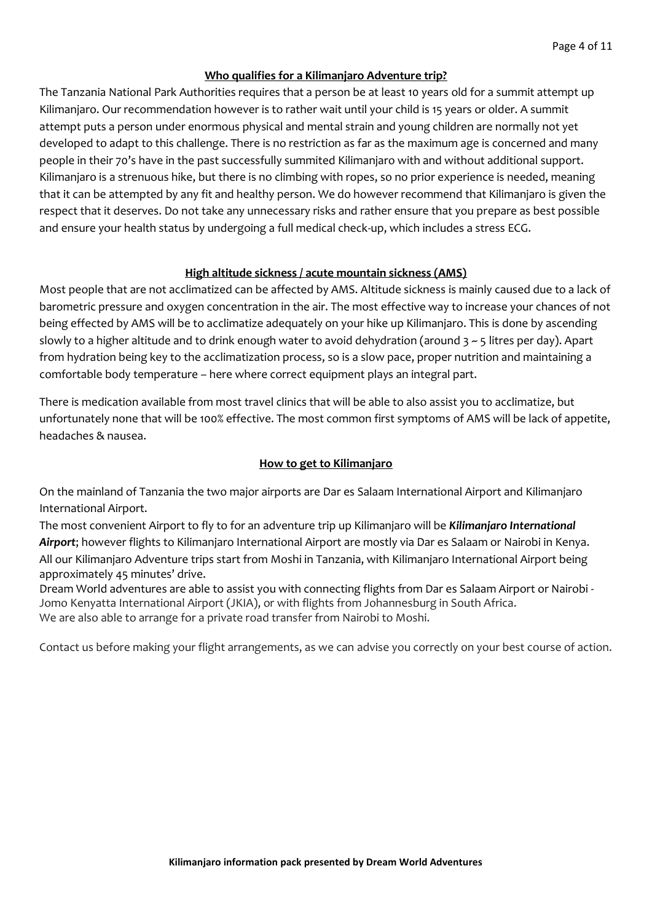# **Who qualifies for a Kilimanjaro Adventure trip?**

The Tanzania National Park Authorities requires that a person be at least 10 years old for a summit attempt up Kilimanjaro. Our recommendation however is to rather wait until your child is 15 years or older. A summit attempt puts a person under enormous physical and mental strain and young children are normally not yet developed to adapt to this challenge. There is no restriction as far as the maximum age is concerned and many people in their 70's have in the past successfully summited Kilimanjaro with and without additional support. Kilimanjaro is a strenuous hike, but there is no climbing with ropes, so no prior experience is needed, meaning that it can be attempted by any fit and healthy person. We do however recommend that Kilimanjaro is given the respect that it deserves. Do not take any unnecessary risks and rather ensure that you prepare as best possible and ensure your health status by undergoing a full medical check-up, which includes a stress ECG.

### **High altitude sickness / acute mountain sickness (AMS)**

Most people that are not acclimatized can be affected by AMS. Altitude sickness is mainly caused due to a lack of barometric pressure and oxygen concentration in the air. The most effective way to increase your chances of not being effected by AMS will be to acclimatize adequately on your hike up Kilimanjaro. This is done by ascending slowly to a higher altitude and to drink enough water to avoid dehydration (around  $3 \sim 5$  litres per day). Apart from hydration being key to the acclimatization process, so is a slow pace, proper nutrition and maintaining a comfortable body temperature – here where correct equipment plays an integral part.

There is medication available from most travel clinics that will be able to also assist you to acclimatize, but unfortunately none that will be 100% effective. The most common first symptoms of AMS will be lack of appetite, headaches & nausea.

## **How to get to Kilimanjaro**

On the mainland of Tanzania the two major airports are Dar es Salaam International Airport and Kilimanjaro International Airport.

The most convenient Airport to fly to for an adventure trip up Kilimanjaro will be *Kilimanjaro International Airport*; however flights to Kilimanjaro International Airport are mostly via Dar es Salaam or Nairobi in Kenya. All our Kilimanjaro Adventure trips start from Moshi in Tanzania, with Kilimanjaro International Airport being approximately 45 minutes' drive.

Dream World adventures are able to assist you with connecting flights from Dar es Salaam Airport or Nairobi - Jomo Kenyatta International Airport (JKIA), or with flights from Johannesburg in South Africa. We are also able to arrange for a private road transfer from Nairobi to Moshi.

Contact us before making your flight arrangements, as we can advise you correctly on your best course of action.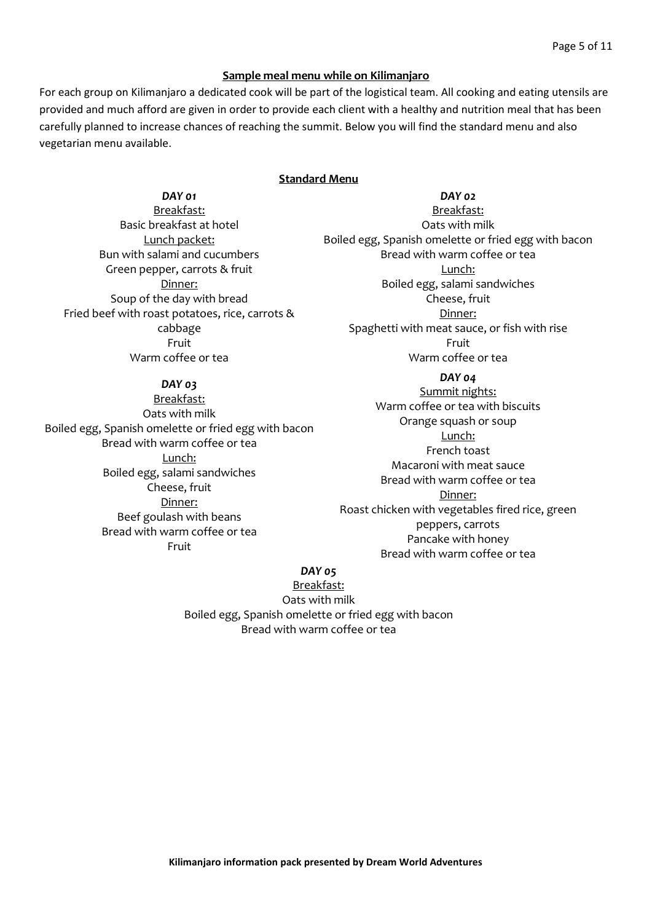### **Sample meal menu while on Kilimanjaro**

For each group on Kilimanjaro a dedicated cook will be part of the logistical team. All cooking and eating utensils are provided and much afford are given in order to provide each client with a healthy and nutrition meal that has been carefully planned to increase chances of reaching the summit. Below you will find the standard menu and also vegetarian menu available.

### **Standard Menu**

*DAY 01* Breakfast: Basic breakfast at hotel Lunch packet: Bun with salami and cucumbers Green pepper, carrots & fruit Dinner: Soup of the day with bread Fried beef with roast potatoes, rice, carrots & cabbage Fruit Warm coffee or tea

#### *DAY 03*

Breakfast: Oats with milk Boiled egg, Spanish omelette or fried egg with bacon Bread with warm coffee or tea Lunch: Boiled egg, salami sandwiches Cheese, fruit Dinner: Beef goulash with beans Bread with warm coffee or tea Fruit

*DAY 02* Breakfast: Oats with milk Boiled egg, Spanish omelette or fried egg with bacon Bread with warm coffee or tea Lunch: Boiled egg, salami sandwiches Cheese, fruit Dinner: Spaghetti with meat sauce, or fish with rise Fruit Warm coffee or tea

#### *DAY 04*

Summit nights: Warm coffee or tea with biscuits Orange squash or soup Lunch: French toast Macaroni with meat sauce Bread with warm coffee or tea Dinner: Roast chicken with vegetables fired rice, green peppers, carrots Pancake with honey Bread with warm coffee or tea

### *DAY 05*

Breakfast:

Oats with milk Boiled egg, Spanish omelette or fried egg with bacon Bread with warm coffee or tea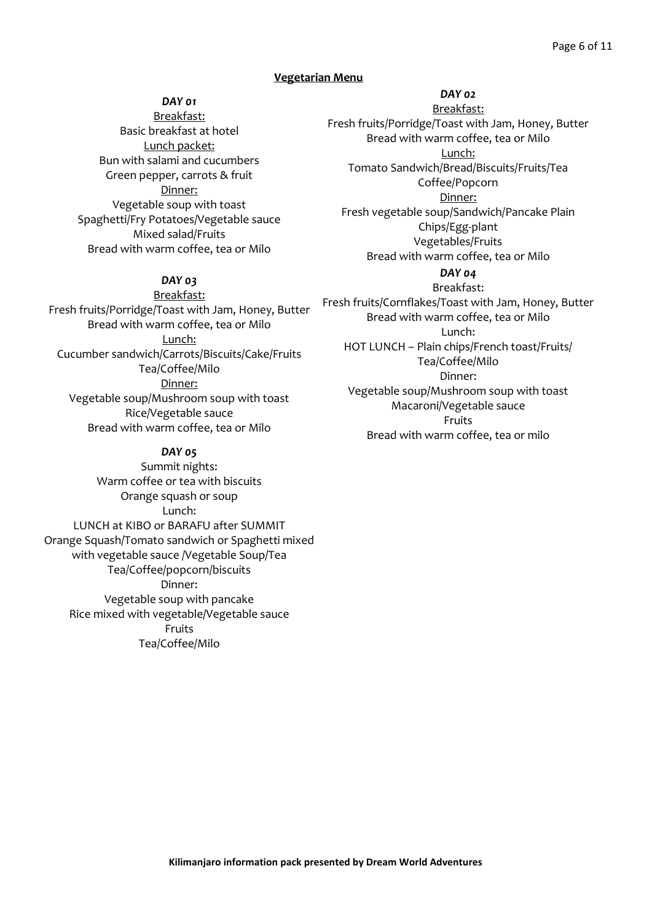#### **Vegetarian Menu**

#### *DAY 01*

Breakfast: Basic breakfast at hotel Lunch packet: Bun with salami and cucumbers Green pepper, carrots & fruit Dinner: Vegetable soup with toast Spaghetti/Fry Potatoes/Vegetable sauce Mixed salad/Fruits Bread with warm coffee, tea or Milo

## *DAY 03*

Breakfast: Fresh fruits/Porridge/Toast with Jam, Honey, Butter Bread with warm coffee, tea or Milo Lunch: Cucumber sandwich/Carrots/Biscuits/Cake/Fruits Tea/Coffee/Milo Dinner: Vegetable soup/Mushroom soup with toast Rice/Vegetable sauce Bread with warm coffee, tea or Milo

#### *DAY 05*

Summit nights: Warm coffee or tea with biscuits Orange squash or soup Lunch: LUNCH at KIBO or BARAFU after SUMMIT Orange Squash/Tomato sandwich or Spaghetti mixed with vegetable sauce /Vegetable Soup/Tea Tea/Coffee/popcorn/biscuits Dinner: Vegetable soup with pancake Rice mixed with vegetable/Vegetable sauce Fruits Tea/Coffee/Milo

*DAY 02* Breakfast: Fresh fruits/Porridge/Toast with Jam, Honey, Butter Bread with warm coffee, tea or Milo Lunch: Tomato Sandwich/Bread/Biscuits/Fruits/Tea Coffee/Popcorn Dinner: Fresh vegetable soup/Sandwich/Pancake Plain Chips/Egg-plant Vegetables/Fruits Bread with warm coffee, tea or Milo

#### *DAY 04*

Breakfast: Fresh fruits/Cornflakes/Toast with Jam, Honey, Butter Bread with warm coffee, tea or Milo Lunch: HOT LUNCH – Plain chips/French toast/Fruits/ Tea/Coffee/Milo Dinner: Vegetable soup/Mushroom soup with toast Macaroni/Vegetable sauce Fruits Bread with warm coffee, tea or milo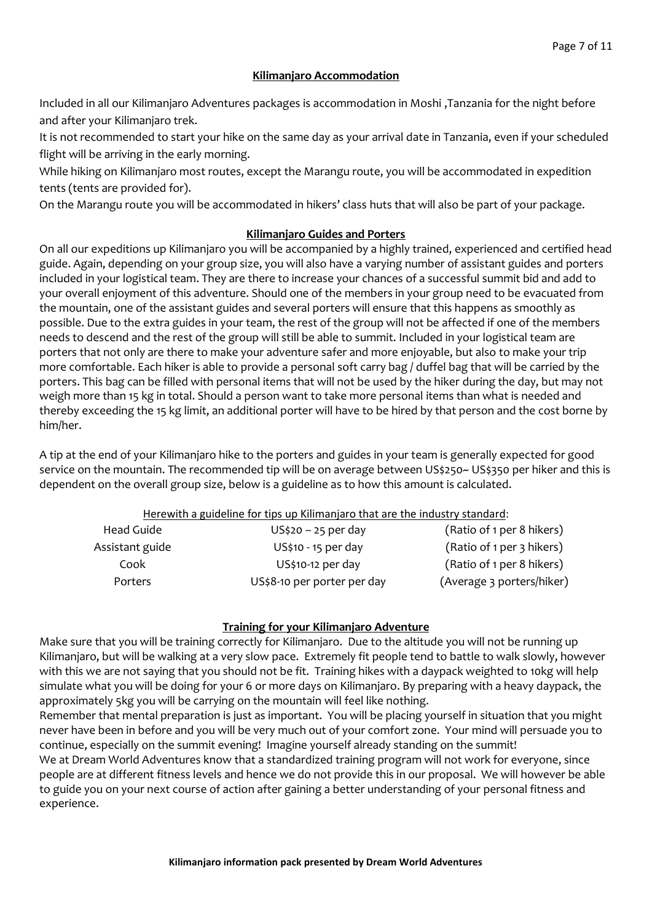# **Kilimanjaro Accommodation**

Included in all our Kilimanjaro Adventures packages is accommodation in Moshi ,Tanzania for the night before and after your Kilimanjaro trek.

It is not recommended to start your hike on the same day as your arrival date in Tanzania, even if your scheduled flight will be arriving in the early morning.

While hiking on Kilimanjaro most routes, except the Marangu route, you will be accommodated in expedition tents (tents are provided for).

On the Marangu route you will be accommodated in hikers' class huts that will also be part of your package.

# **Kilimanjaro Guides and Porters**

On all our expeditions up Kilimanjaro you will be accompanied by a highly trained, experienced and certified head guide. Again, depending on your group size, you will also have a varying number of assistant guides and porters included in your logistical team. They are there to increase your chances of a successful summit bid and add to your overall enjoyment of this adventure. Should one of the members in your group need to be evacuated from the mountain, one of the assistant guides and several porters will ensure that this happens as smoothly as possible. Due to the extra guides in your team, the rest of the group will not be affected if one of the members needs to descend and the rest of the group will still be able to summit. Included in your logistical team are porters that not only are there to make your adventure safer and more enjoyable, but also to make your trip more comfortable. Each hiker is able to provide a personal soft carry bag / duffel bag that will be carried by the porters. This bag can be filled with personal items that will not be used by the hiker during the day, but may not weigh more than 15 kg in total. Should a person want to take more personal items than what is needed and thereby exceeding the 15 kg limit, an additional porter will have to be hired by that person and the cost borne by him/her.

A tip at the end of your Kilimanjaro hike to the porters and guides in your team is generally expected for good service on the mountain. The recommended tip will be on average between US\$250~ US\$350 per hiker and this is dependent on the overall group size, below is a guideline as to how this amount is calculated.

| Herewith a guideline for tips up Kilimanjaro that are the industry standard: |                             |                           |  |
|------------------------------------------------------------------------------|-----------------------------|---------------------------|--|
| Head Guide                                                                   | $US$20 - 25$ per day        | (Ratio of 1 per 8 hikers) |  |
| Assistant guide                                                              | US\$10 - 15 per day         | (Ratio of 1 per 3 hikers) |  |
| Cook                                                                         | US\$10-12 per day           | (Ratio of 1 per 8 hikers) |  |
| Porters                                                                      | US\$8-10 per porter per day | (Average 3 porters/hiker) |  |

### **Training for your Kilimanjaro Adventure**

Make sure that you will be training correctly for Kilimanjaro. Due to the altitude you will not be running up Kilimanjaro, but will be walking at a very slow pace. Extremely fit people tend to battle to walk slowly, however with this we are not saying that you should not be fit. Training hikes with a daypack weighted to 10kg will help simulate what you will be doing for your 6 or more days on Kilimanjaro. By preparing with a heavy daypack, the approximately 5kg you will be carrying on the mountain will feel like nothing.

Remember that mental preparation is just as important. You will be placing yourself in situation that you might never have been in before and you will be very much out of your comfort zone. Your mind will persuade you to continue, especially on the summit evening! Imagine yourself already standing on the summit!

We at Dream World Adventures know that a standardized training program will not work for everyone, since people are at different fitness levels and hence we do not provide this in our proposal. We will however be able to guide you on your next course of action after gaining a better understanding of your personal fitness and experience.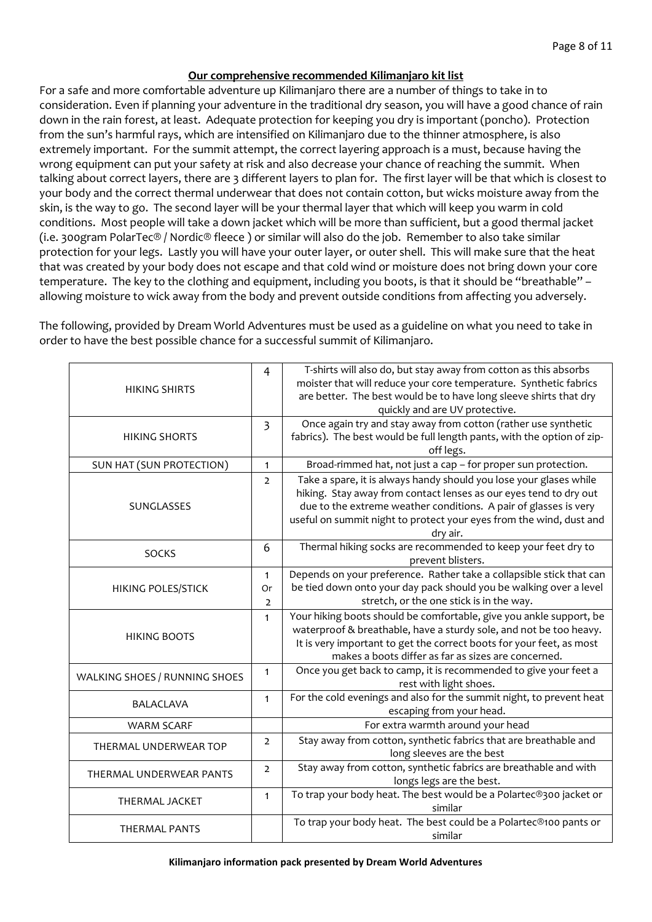#### Page 8 of 11

### **Our comprehensive recommended Kilimanjaro kit list**

For a safe and more comfortable adventure up Kilimanjaro there are a number of things to take in to consideration. Even if planning your adventure in the traditional dry season, you will have a good chance of rain down in the rain forest, at least. Adequate protection for keeping you dry is important (poncho). Protection from the sun's harmful rays, which are intensified on Kilimanjaro due to the thinner atmosphere, is also extremely important. For the summit attempt, the correct layering approach is a must, because having the wrong equipment can put your safety at risk and also decrease your chance of reaching the summit. When talking about correct layers, there are 3 different layers to plan for. The first layer will be that which is closest to your body and the correct thermal underwear that does not contain cotton, but wicks moisture away from the skin, is the way to go. The second layer will be your thermal layer that which will keep you warm in cold conditions. Most people will take a down jacket which will be more than sufficient, but a good thermal jacket (i.e. 300gram PolarTec® / Nordic® fleece ) or similar will also do the job. Remember to also take similar protection for your legs. Lastly you will have your outer layer, or outer shell. This will make sure that the heat that was created by your body does not escape and that cold wind or moisture does not bring down your core temperature. The key to the clothing and equipment, including you boots, is that it should be "breathable" – allowing moisture to wick away from the body and prevent outside conditions from affecting you adversely.

The following, provided by Dream World Adventures must be used as a guideline on what you need to take in order to have the best possible chance for a successful summit of Kilimanjaro.

| <b>HIKING SHIRTS</b>          | $\overline{4}$                       | T-shirts will also do, but stay away from cotton as this absorbs<br>moister that will reduce your core temperature. Synthetic fabrics<br>are better. The best would be to have long sleeve shirts that dry<br>quickly and are UV protective.                                                   |
|-------------------------------|--------------------------------------|------------------------------------------------------------------------------------------------------------------------------------------------------------------------------------------------------------------------------------------------------------------------------------------------|
| <b>HIKING SHORTS</b>          | $\overline{3}$                       | Once again try and stay away from cotton (rather use synthetic<br>fabrics). The best would be full length pants, with the option of zip-<br>off legs.                                                                                                                                          |
| SUN HAT (SUN PROTECTION)      | $\mathbf{1}$                         | Broad-rimmed hat, not just a cap - for proper sun protection.                                                                                                                                                                                                                                  |
| <b>SUNGLASSES</b>             | $\overline{2}$                       | Take a spare, it is always handy should you lose your glases while<br>hiking. Stay away from contact lenses as our eyes tend to dry out<br>due to the extreme weather conditions. A pair of glasses is very<br>useful on summit night to protect your eyes from the wind, dust and<br>dry air. |
| <b>SOCKS</b>                  | 6                                    | Thermal hiking socks are recommended to keep your feet dry to<br>prevent blisters.                                                                                                                                                                                                             |
| HIKING POLES/STICK            | $\mathbf{1}$<br>Or<br>$\overline{2}$ | Depends on your preference. Rather take a collapsible stick that can<br>be tied down onto your day pack should you be walking over a level<br>stretch, or the one stick is in the way.                                                                                                         |
| <b>HIKING BOOTS</b>           | $\mathbf{1}$                         | Your hiking boots should be comfortable, give you ankle support, be<br>waterproof & breathable, have a sturdy sole, and not be too heavy.<br>It is very important to get the correct boots for your feet, as most<br>makes a boots differ as far as sizes are concerned.                       |
| WALKING SHOES / RUNNING SHOES | $\mathbf{1}$                         | Once you get back to camp, it is recommended to give your feet a<br>rest with light shoes.                                                                                                                                                                                                     |
| BALACLAVA                     | $\mathbf{1}$                         | For the cold evenings and also for the summit night, to prevent heat<br>escaping from your head.                                                                                                                                                                                               |
| <b>WARM SCARF</b>             |                                      | For extra warmth around your head                                                                                                                                                                                                                                                              |
| THERMAL UNDERWEAR TOP         | $\overline{2}$                       | Stay away from cotton, synthetic fabrics that are breathable and<br>long sleeves are the best                                                                                                                                                                                                  |
| THERMAL UNDERWEAR PANTS       | $\overline{2}$                       | Stay away from cotton, synthetic fabrics are breathable and with<br>longs legs are the best.                                                                                                                                                                                                   |
| <b>THERMAL JACKET</b>         | $\mathbf{1}$                         | To trap your body heat. The best would be a Polartec®300 jacket or<br>similar                                                                                                                                                                                                                  |
| <b>THERMAL PANTS</b>          |                                      | To trap your body heat. The best could be a Polartec®100 pants or<br>similar                                                                                                                                                                                                                   |

**Kilimanjaro information pack presented by Dream World Adventures**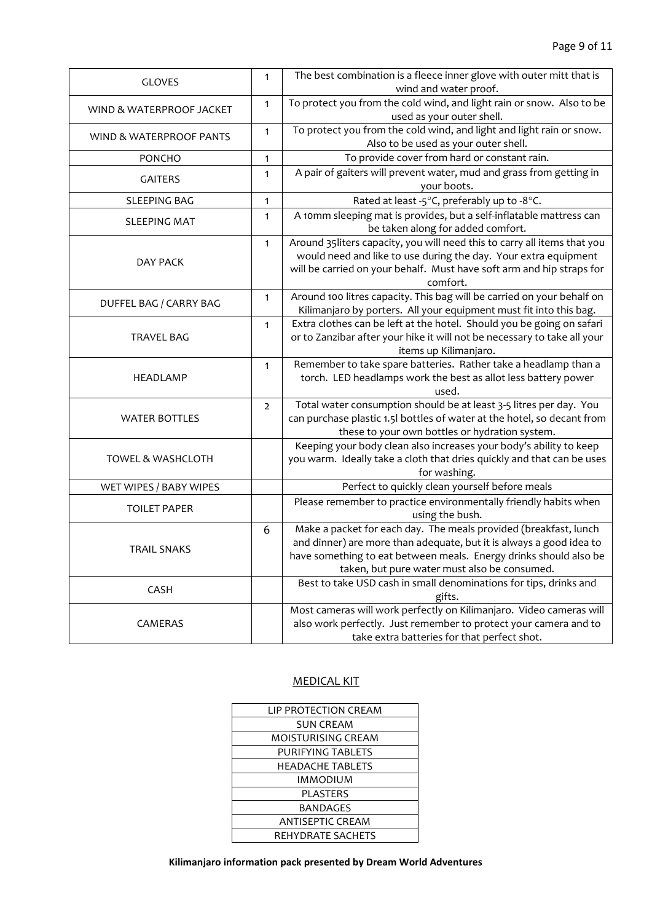| <b>GLOVES</b>            | 1              | The best combination is a fleece inner glove with outer mitt that is                                                                                                                                                                                         |
|--------------------------|----------------|--------------------------------------------------------------------------------------------------------------------------------------------------------------------------------------------------------------------------------------------------------------|
|                          |                | wind and water proof.                                                                                                                                                                                                                                        |
| WIND & WATERPROOF JACKET | 1              | To protect you from the cold wind, and light rain or snow. Also to be<br>used as your outer shell.                                                                                                                                                           |
| WIND & WATERPROOF PANTS  | $\mathbf{1}$   | To protect you from the cold wind, and light and light rain or snow.<br>Also to be used as your outer shell.                                                                                                                                                 |
| <b>PONCHO</b>            | 1              | To provide cover from hard or constant rain.                                                                                                                                                                                                                 |
| <b>GAITERS</b>           | 1              | A pair of gaiters will prevent water, mud and grass from getting in<br>your boots.                                                                                                                                                                           |
| SLEEPING BAG             | 1              | Rated at least -5°C, preferably up to -8°C.                                                                                                                                                                                                                  |
| <b>SLEEPING MAT</b>      | 1              | A 10mm sleeping mat is provides, but a self-inflatable mattress can<br>be taken along for added comfort.                                                                                                                                                     |
| DAY PACK                 | $\mathbf{1}$   | Around 35 liters capacity, you will need this to carry all items that you<br>would need and like to use during the day. Your extra equipment<br>will be carried on your behalf. Must have soft arm and hip straps for<br>comfort.                            |
| DUFFEL BAG / CARRY BAG   | $\mathbf{1}$   | Around 100 litres capacity. This bag will be carried on your behalf on<br>Kilimanjaro by porters. All your equipment must fit into this bag.                                                                                                                 |
| TRAVEL BAG               | 1              | Extra clothes can be left at the hotel. Should you be going on safari<br>or to Zanzibar after your hike it will not be necessary to take all your<br>items up Kilimanjaro.                                                                                   |
| HEADLAMP                 | 1              | Remember to take spare batteries. Rather take a headlamp than a<br>torch. LED headlamps work the best as allot less battery power<br>used.                                                                                                                   |
| <b>WATER BOTTLES</b>     | $\overline{2}$ | Total water consumption should be at least 3-5 litres per day. You<br>can purchase plastic 1.5l bottles of water at the hotel, so decant from<br>these to your own bottles or hydration system.                                                              |
| TOWEL & WASHCLOTH        |                | Keeping your body clean also increases your body's ability to keep<br>you warm. Ideally take a cloth that dries quickly and that can be uses<br>for washing.                                                                                                 |
| WET WIPES / BABY WIPES   |                | Perfect to quickly clean yourself before meals                                                                                                                                                                                                               |
| <b>TOILET PAPER</b>      |                | Please remember to practice environmentally friendly habits when<br>using the bush.                                                                                                                                                                          |
| <b>TRAIL SNAKS</b>       | 6              | Make a packet for each day. The meals provided (breakfast, lunch<br>and dinner) are more than adequate, but it is always a good idea to<br>have something to eat between meals. Energy drinks should also be<br>taken, but pure water must also be consumed. |
| CASH                     |                | Best to take USD cash in small denominations for tips, drinks and<br>gifts.                                                                                                                                                                                  |
| CAMERAS                  |                | Most cameras will work perfectly on Kilimanjaro. Video cameras will<br>also work perfectly. Just remember to protect your camera and to<br>take extra batteries for that perfect shot.                                                                       |

# MEDICAL KIT

| LIP PROTECTION CREAM    |  |
|-------------------------|--|
| SUN CREAM               |  |
| MOISTURISING CREAM      |  |
| PURIFYING TABLETS       |  |
| <b>HEADACHE TABLETS</b> |  |
| IMMODIUM                |  |
| PLASTERS                |  |
| BANDAGES                |  |
| <b>ANTISEPTIC CREAM</b> |  |
| REHYDRATE SACHETS       |  |

### **Kilimanjaro information pack presented by Dream World Adventures**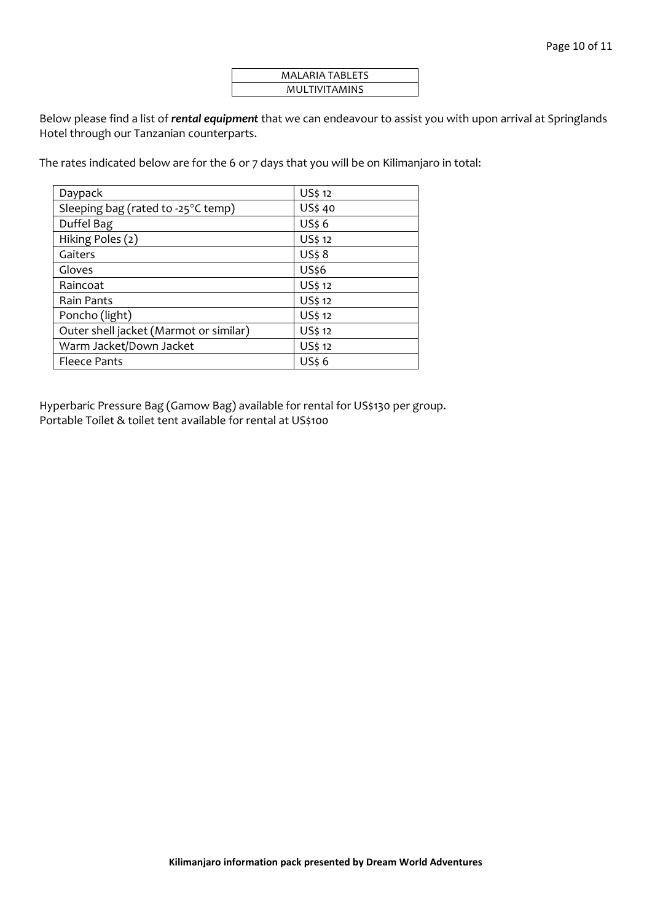| <b>MALARIA TABLETS</b> |  |
|------------------------|--|
| <b>MULTIVITAMINS</b>   |  |

Below please find a list of *rental equipment* that we can endeavour to assist you with upon arrival at Springlands Hotel through our Tanzanian counterparts.

The rates indicated below are for the 6 or 7 days that you will be on Kilimanjaro in total:

| Daypack                                | US\$ 12 |
|----------------------------------------|---------|
| Sleeping bag (rated to -25°C temp)     | US\$ 40 |
| Duffel Bag                             | US\$6   |
| Hiking Poles (2)                       | US\$ 12 |
| Gaiters                                | US\$ 8  |
| Gloves                                 | US\$6   |
| Raincoat                               | US\$ 12 |
| <b>Rain Pants</b>                      | US\$ 12 |
| Poncho (light)                         | US\$ 12 |
| Outer shell jacket (Marmot or similar) | US\$ 12 |
| Warm Jacket/Down Jacket                | US\$ 12 |
| Fleece Pants                           | US\$6   |

Hyperbaric Pressure Bag (Gamow Bag) available for rental for US\$130 per group. Portable Toilet & toilet tent available for rental at US\$100